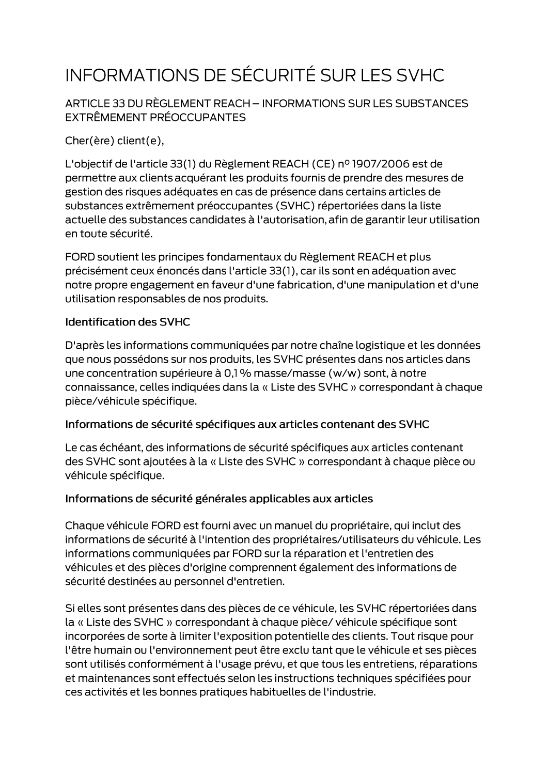# INFORMATIONS DE SÉCURITÉ SUR LES SVHC

ARTICLE 33 DU RÈGLEMENT REACH - INFORMATIONS SUR LES SUBSTANCES EXTRÊMEMENT PRÉOCCUPANTES

Cher(ère) client(e),

L'objectif de l'article 33(1) du Règlement REACH (CE) nº 1907/2006 est de permettre aux clients acquérant les produits fournis de prendre des mesures de gestion des risques adéquates en cas de présence dans certains articles de substances extrêmement préoccupantes (SVHC) répertoriées dans la liste actuelle des substances candidates à l'autorisation, afin de garantir leur utilisation en toute sécurité.

FORD soutient les principes fondamentaux du Règlement REACH et plus précisément ceux énoncés dans l'article 33(1), car ils sont en adéquation avec notre propre engagement en faveur d'une fabrication, d'une manipulation et d'une utilisation responsables de nos produits.

#### **Identification des SVHC**

D'après les informations communiquées par notre chaîne logistique et les données que nous possédons sur nos produits, les SVHC présentes dans nos articles dans une concentration supérieure à 0,1 % masse/masse (w/w) sont, à notre connaissance, celles indiquées dans la « Liste des SVHC » correspondant à chaque pièce/véhicule spécifique.

#### Informations de sécurité spécifiques aux articles contenant des SVHC

Le cas échéant, des informations de sécurité spécifiques aux articles contenant des SVHC sont ajoutées à la « Liste des SVHC » correspondant à chaque pièce ou véhicule spécifique.

#### Informations de sécurité générales applicables aux articles

Chaque véhicule FORD est fourni avec un manuel du propriétaire, qui inclut des informations de sécurité à l'intention des propriétaires/utilisateurs du véhicule. Les informations communiquées par FORD sur la réparation et l'entretien des véhicules et des pièces d'origine comprennent également des informations de sécurité destinées au personnel d'entretien.

Si elles sont présentes dans des pièces de ce véhicule, les SVHC répertoriées dans la « Liste des SVHC » correspondant à chaque pièce/ véhicule spécifique sont incorporées de sorte à limiter l'exposition potentielle des clients. Tout risque pour l'être humain ou l'environnement peut être exclu tant que le véhicule et ses pièces sont utilisés conformément à l'usage prévu, et que tous les entretiens, réparations et maintenances sont effectués selon les instructions techniques spécifiées pour ces activités et les bonnes pratiques habituelles de l'industrie.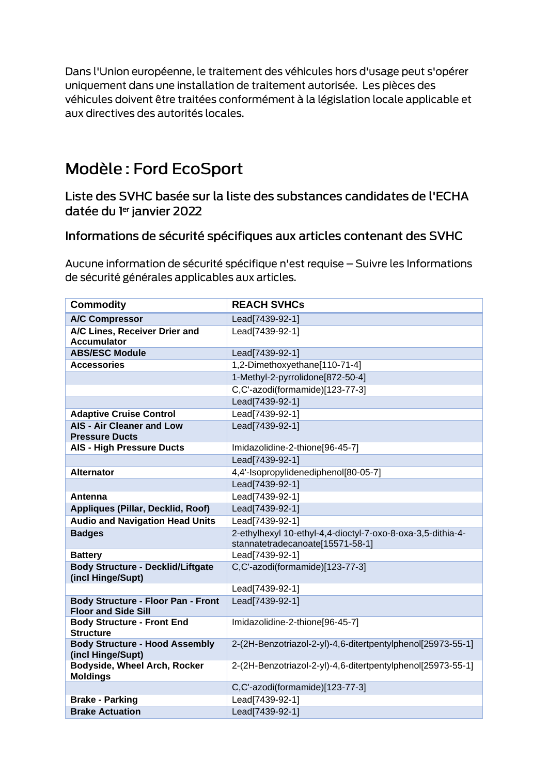Dans l'Union européenne, le traitement des véhicules hors d'usage peut s'opérer uniquement dans une installation de traitement autorisée. Les pièces des véhicules doivent être traitées conformément à la législation locale applicable et aux directives des autorités locales.

## Modèle: Ford EcoSport

Liste des SVHC basée sur la liste des substances candidates de l'ECHA datée du ler janvier 2022

### Informations de sécurité spécifiques aux articles contenant des SVHC

Aucune information de sécurité spécifique n'est requise - Suivre les Informations de sécurité générales applicables aux articles.

| <b>Commodity</b>                                                        | <b>REACH SVHCs</b>                                          |
|-------------------------------------------------------------------------|-------------------------------------------------------------|
| <b>A/C Compressor</b>                                                   | Lead[7439-92-1]                                             |
| A/C Lines, Receiver Drier and<br><b>Accumulator</b>                     | Lead[7439-92-1]                                             |
| <b>ABS/ESC Module</b>                                                   | Lead[7439-92-1]                                             |
| <b>Accessories</b>                                                      | 1,2-Dimethoxyethane[110-71-4]                               |
|                                                                         | 1-Methyl-2-pyrrolidone[872-50-4]                            |
|                                                                         | C,C'-azodi(formamide)[123-77-3]                             |
|                                                                         | Lead[7439-92-1]                                             |
| <b>Adaptive Cruise Control</b>                                          | Lead[7439-92-1]                                             |
| <b>AIS - Air Cleaner and Low</b><br><b>Pressure Ducts</b>               | Lead[7439-92-1]                                             |
| <b>AIS - High Pressure Ducts</b>                                        | Imidazolidine-2-thione[96-45-7]                             |
|                                                                         | Lead[7439-92-1]                                             |
| <b>Alternator</b>                                                       | 4,4'-Isopropylidenediphenol[80-05-7]                        |
|                                                                         | Lead[7439-92-1]                                             |
| Antenna                                                                 | Lead[7439-92-1]                                             |
| Appliques (Pillar, Decklid, Roof)                                       | Lead[7439-92-1]                                             |
| <b>Audio and Navigation Head Units</b>                                  | Lead[7439-92-1]                                             |
| <b>Badges</b>                                                           | 2-ethylhexyl 10-ethyl-4,4-dioctyl-7-oxo-8-oxa-3,5-dithia-4- |
|                                                                         | stannatetradecanoate[15571-58-1]                            |
| <b>Battery</b>                                                          | Lead[7439-92-1]                                             |
| <b>Body Structure - Decklid/Liftgate</b><br>(incl Hinge/Supt)           | C,C'-azodi(formamide)[123-77-3]                             |
|                                                                         | Lead[7439-92-1]                                             |
| <b>Body Structure - Floor Pan - Front</b><br><b>Floor and Side Sill</b> | Lead[7439-92-1]                                             |
| <b>Body Structure - Front End</b><br><b>Structure</b>                   | Imidazolidine-2-thione[96-45-7]                             |
| <b>Body Structure - Hood Assembly</b><br>(incl Hinge/Supt)              | 2-(2H-Benzotriazol-2-yl)-4,6-ditertpentylphenol[25973-55-1] |
| <b>Bodyside, Wheel Arch, Rocker</b><br><b>Moldings</b>                  | 2-(2H-Benzotriazol-2-yl)-4,6-ditertpentylphenol[25973-55-1] |
|                                                                         | C,C'-azodi(formamide)[123-77-3]                             |
| <b>Brake - Parking</b>                                                  | Lead[7439-92-1]                                             |
| <b>Brake Actuation</b>                                                  | Lead[7439-92-1]                                             |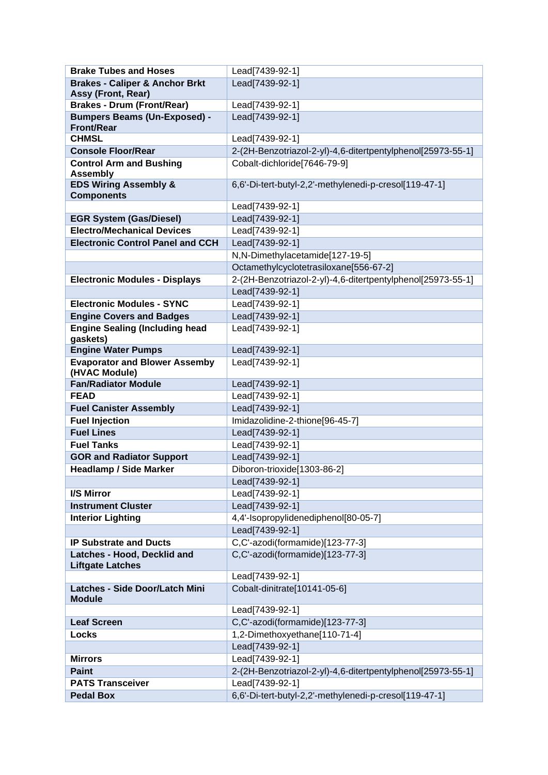| <b>Brake Tubes and Hoses</b>                             | Lead[7439-92-1]                                             |
|----------------------------------------------------------|-------------------------------------------------------------|
| <b>Brakes - Caliper &amp; Anchor Brkt</b>                | Lead[7439-92-1]                                             |
| <b>Assy (Front, Rear)</b>                                |                                                             |
| <b>Brakes - Drum (Front/Rear)</b>                        | Lead[7439-92-1]                                             |
| <b>Bumpers Beams (Un-Exposed) -</b><br><b>Front/Rear</b> | Lead[7439-92-1]                                             |
| <b>CHMSL</b>                                             | Lead[7439-92-1]                                             |
| <b>Console Floor/Rear</b>                                | 2-(2H-Benzotriazol-2-yl)-4,6-ditertpentylphenol[25973-55-1] |
| <b>Control Arm and Bushing</b>                           | Cobalt-dichloride[7646-79-9]                                |
| <b>Assembly</b>                                          |                                                             |
| <b>EDS Wiring Assembly &amp;</b><br><b>Components</b>    | 6,6'-Di-tert-butyl-2,2'-methylenedi-p-cresol[119-47-1]      |
|                                                          | Lead[7439-92-1]                                             |
| <b>EGR System (Gas/Diesel)</b>                           | Lead[7439-92-1]                                             |
| <b>Electro/Mechanical Devices</b>                        | Lead[7439-92-1]                                             |
| <b>Electronic Control Panel and CCH</b>                  | Lead[7439-92-1]                                             |
|                                                          | N,N-Dimethylacetamide[127-19-5]                             |
|                                                          | Octamethylcyclotetrasiloxane[556-67-2]                      |
| <b>Electronic Modules - Displays</b>                     | 2-(2H-Benzotriazol-2-yl)-4,6-ditertpentylphenol[25973-55-1] |
|                                                          | Lead[7439-92-1]                                             |
| <b>Electronic Modules - SYNC</b>                         | Lead[7439-92-1]                                             |
| <b>Engine Covers and Badges</b>                          | Lead[7439-92-1]                                             |
| <b>Engine Sealing (Including head</b>                    | Lead[7439-92-1]                                             |
| gaskets)                                                 |                                                             |
| <b>Engine Water Pumps</b>                                | Lead[7439-92-1]                                             |
| <b>Evaporator and Blower Assemby</b>                     | Lead[7439-92-1]                                             |
| (HVAC Module)                                            |                                                             |
| <b>Fan/Radiator Module</b>                               | Lead[7439-92-1]                                             |
| <b>FEAD</b>                                              | Lead[7439-92-1]                                             |
| <b>Fuel Canister Assembly</b>                            | Lead[7439-92-1]                                             |
| <b>Fuel Injection</b>                                    | Imidazolidine-2-thione[96-45-7]                             |
| <b>Fuel Lines</b>                                        | Lead[7439-92-1]                                             |
| <b>Fuel Tanks</b>                                        | Lead[7439-92-1]                                             |
| <b>GOR and Radiator Support</b>                          | Lead[7439-92-1]                                             |
| <b>Headlamp / Side Marker</b>                            | Diboron-trioxide[1303-86-2]                                 |
|                                                          | Lead[7439-92-1]                                             |
| I/S Mirror                                               | Lead[7439-92-1]                                             |
| <b>Instrument Cluster</b>                                | Lead[7439-92-1]                                             |
| <b>Interior Lighting</b>                                 | 4,4'-Isopropylidenediphenol[80-05-7]                        |
|                                                          | Lead[7439-92-1]                                             |
| <b>IP Substrate and Ducts</b>                            | C,C'-azodi(formamide)[123-77-3]                             |
| Latches - Hood, Decklid and<br><b>Liftgate Latches</b>   | C,C'-azodi(formamide)[123-77-3]                             |
|                                                          | Lead[7439-92-1]                                             |
| Latches - Side Door/Latch Mini                           | Cobalt-dinitrate[10141-05-6]                                |
| <b>Module</b>                                            |                                                             |
|                                                          | Lead[7439-92-1]                                             |
| <b>Leaf Screen</b>                                       | C,C'-azodi(formamide)[123-77-3]                             |
| <b>Locks</b>                                             | 1,2-Dimethoxyethane[110-71-4]                               |
|                                                          | Lead[7439-92-1]                                             |
| <b>Mirrors</b>                                           | Lead[7439-92-1]                                             |
| <b>Paint</b>                                             | 2-(2H-Benzotriazol-2-yl)-4,6-ditertpentylphenol[25973-55-1] |
| <b>PATS Transceiver</b>                                  | Lead[7439-92-1]                                             |
| <b>Pedal Box</b>                                         | 6,6'-Di-tert-butyl-2,2'-methylenedi-p-cresol[119-47-1]      |